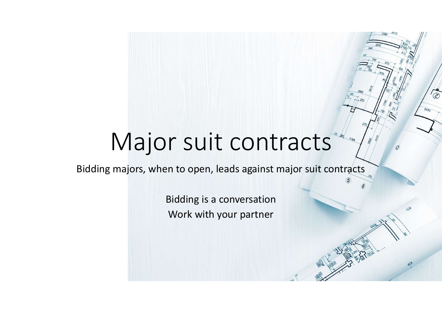## Major suit contracts

 $\widetilde{\circledcirc}$ 

Bidding majors, when to open, leads against major suit contracts

Bidding is a conversation Work with your partner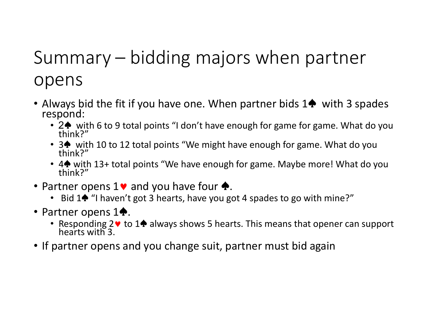# Summary – bidding majors when partner<br>opens opens

- Always bid the fit if you have one. When partner bids 1 $\spadesuit$  with 3 spades respond:
	- 2♦ with 6 to 9 total points "I don't have enough for game for game. What do you think?"
	- <sup>3</sup>♠ with 10 to 12 total points "We might have enough for game. What do you think?"
	- <sup>4</sup>♠ with 13+ total points "We have enough for game. Maybe more! What do you think?"
- Partner opens  $1\vee$  and you have four  $\spadesuit$ .
	- Bid 1♦ "I haven't got 3 hearts, have you got 4 spades to go with mine?"
- Partner opens 1♠.
	- Responding 2♥ to 1♠ always shows 5 hearts. This means that opener can support hearts with 3.
- If partner opens and you change suit, partner must bid again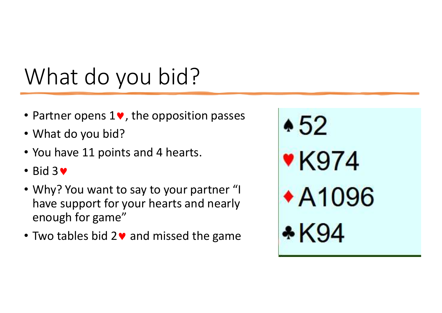- Partner opens 1<sup>•</sup>, the opposition passes **452**
- What do you bid?
- You have 11 points and 4 hearts.
- $\cdot$  Bid 3 $\bullet$
- Why? You want to say to your partner "I have support for your hearts and nearly enough for game"
- Two tables bid  $2\vee$  and missed the game

**\*K974** ◆A1096 \* K94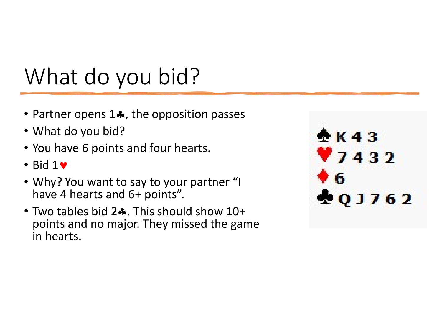- Partner opens  $1\clubsuit$ , the opposition passes
- What do you bid?
- You have 6 points and four hearts.
- $\cdot$  Bid 1 $\bullet$
- Why? You want to say to your partner "I have 4 hearts and 6+ points".
- Two tables bid  $2\clubsuit$ . This should show  $10+$ points and no major. They missed the game in hearts.

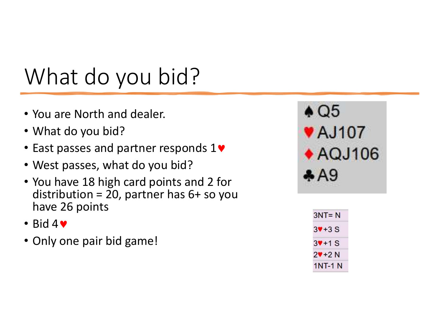- You are North and dealer.
- What do you bid?
- East passes and partner responds 1<sup>•</sup> **AQJ106**
- West passes, what do you bid?
- You have 18 high card points and 2 for distribution = 20, partner has  $6+$  so you have 26 points
- $\bullet$  Bid 4 $\bullet$
- Only one pair bid game!



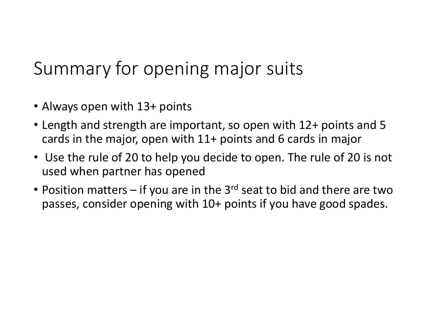## Summary for opening major suits

- Always open with 13+ points
- Length and strength are important, so open with 12+ points and 5 cards in the major, open with 11+ points and 6 cards in major
- Use the rule of 20 to help you decide to open. The rule of 20 is not used when partner has opened
- Summary for opening major suits<br>
 Always open with 13+ points<br>
 Length and strength are important, so open with 12+ points and 5<br>
cards in the major, open with 11+ points and 6 cards in major<br>
 Use the rule of 20 to he passes, consider opening with 10+ points if you have good spades.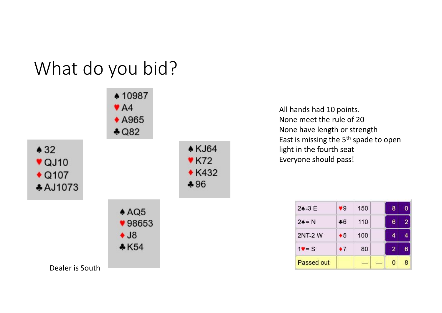

All hands had 10 points. All hands had 10 points.<br>None meet the rule of 20<br>None have length or strength<br>East is missing the 5<sup>th</sup> spade to open<br>light in the fourth seat<br>Everyone should pass! None have length or strength All hands had 10 points.<br>None meet the rule of 20<br>None have length or strength<br>East is missing the 5<sup>th</sup> spade to open<br>light in the fourth seat<br>Everyone should pass! All hands had 10 points.<br>None meet the rule of 20<br>None have length or strength<br>East is missing the 5<sup>th</sup> spade to open<br>light in the fourth seat<br>Everyone should pass! All hands had 10 points.<br>None meet the rule of 20<br>None have length or strength<br>East is missing the 5<sup>th</sup> spade to open<br>light in the fourth seat<br>Everyone should pass!

| $24 - 3E$     | 9 <sup>°</sup> | 150 | 8              |   |
|---------------|----------------|-----|----------------|---|
| $24 = N$      | $-6$           | 110 | 6              | 2 |
| <b>2NT-2W</b> | $\bullet 5$    | 100 | 4              |   |
| $19 = S$      | $\bullet$ 7    | 80  | $\overline{2}$ |   |
| Passed out    |                |     | 0              | 8 |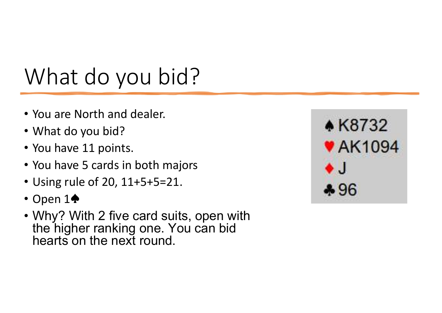- You are North and dealer.
- What do you bid?
- You have 11 points.
- You have 5 cards in both majors
- Using rule of 20, 11+5+5=21.
- Open 1♠
- Why? With 2 five card suits, open with the higher ranking one. You can bid hearts on the next round.

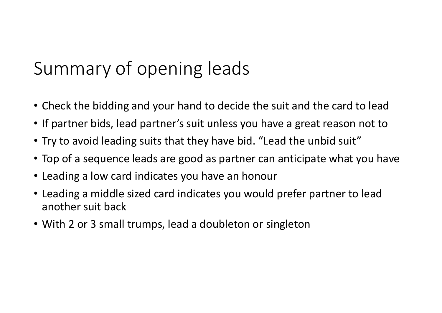## Summary of opening leads

- Check the bidding and your hand to decide the suit and the card to lead
- If partner bids, lead partner's suit unless you have a great reason not to
- Try to avoid leading suits that they have bid. "Lead the unbid suit"
- Top of a sequence leads are good as partner can anticipate what you have
- Leading a low card indicates you have an honour
- Leading a middle sized card indicates you would prefer partner to lead another suit back
- With 2 or 3 small trumps, lead a doubleton or singleton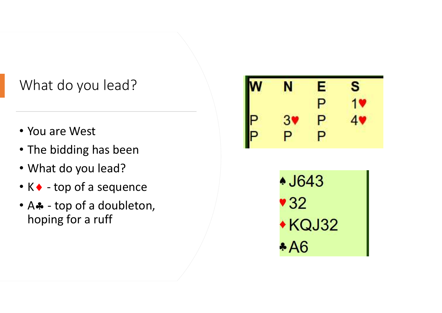#### What do you lead?

- You are West
- The bidding has been
- What do you lead?
- 
- What do you lead?<br>
 You are West<br>
 The bidding has been<br>
 What do you lead?<br>
 K - top of a sequence<br>
 A - top of a doubleton,<br>
hoping for a ruff What do you lead?<br>
• You are West<br>
• The bidding has been<br>
• What do you lead?<br>
• K• - top of a sequence<br>
• A• - top of a doubleton,<br>
hoping for a ruff hoping for a ruff

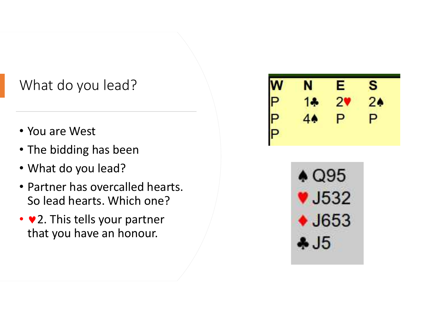#### What do you lead?

- You are West
- The bidding has been
- What do you lead?
- Partner has overcalled hearts. So lead hearts. Which one?
- $\vee$  2. This tells your partner that you have an honour.

| $\mathbf w$ | N  | E | S              |
|-------------|----|---|----------------|
| P           | 14 | ン | 2 <sub>0</sub> |
| P           | 44 | P | Ρ              |
|             |    |   |                |